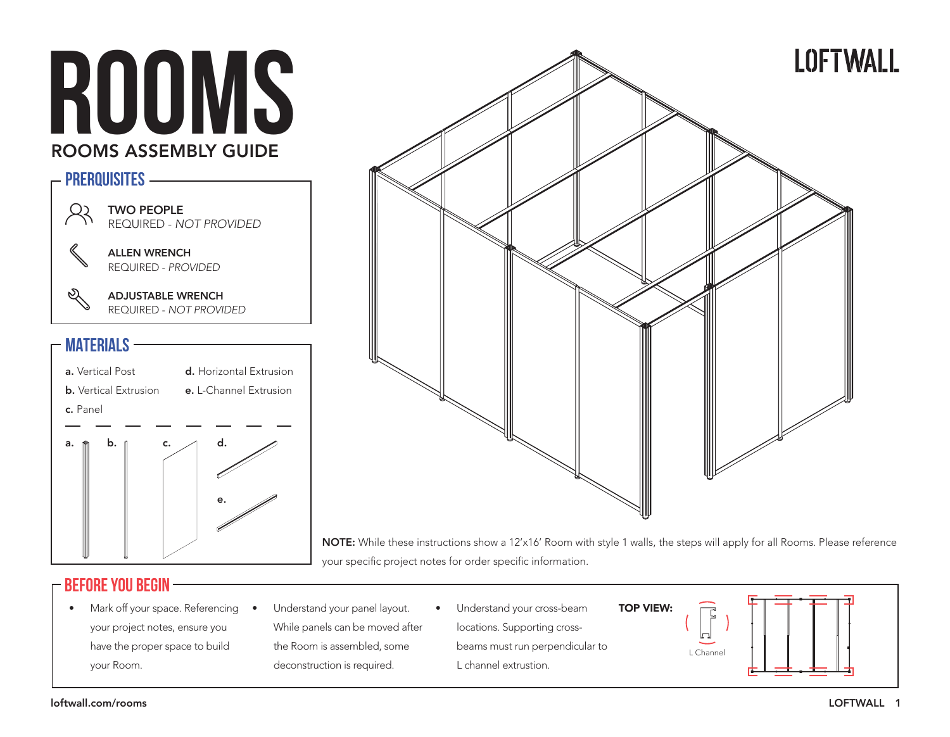



NOTE: While these instructions show a 12'x16' Room with style 1 walls, the steps will apply for all Rooms. Please reference your specific project notes for order specific information.

#### **BEFORE YOU Begin**

- Mark off your space. Referencing your project notes, ensure you have the proper space to build your Room.
	- Understand your panel layout. While panels can be moved after the Room is assembled, some deconstruction is required.
- Understand your cross-beam locations. Supporting crossbeams must run perpendicular to L channel extrustion. TOP VIEW:

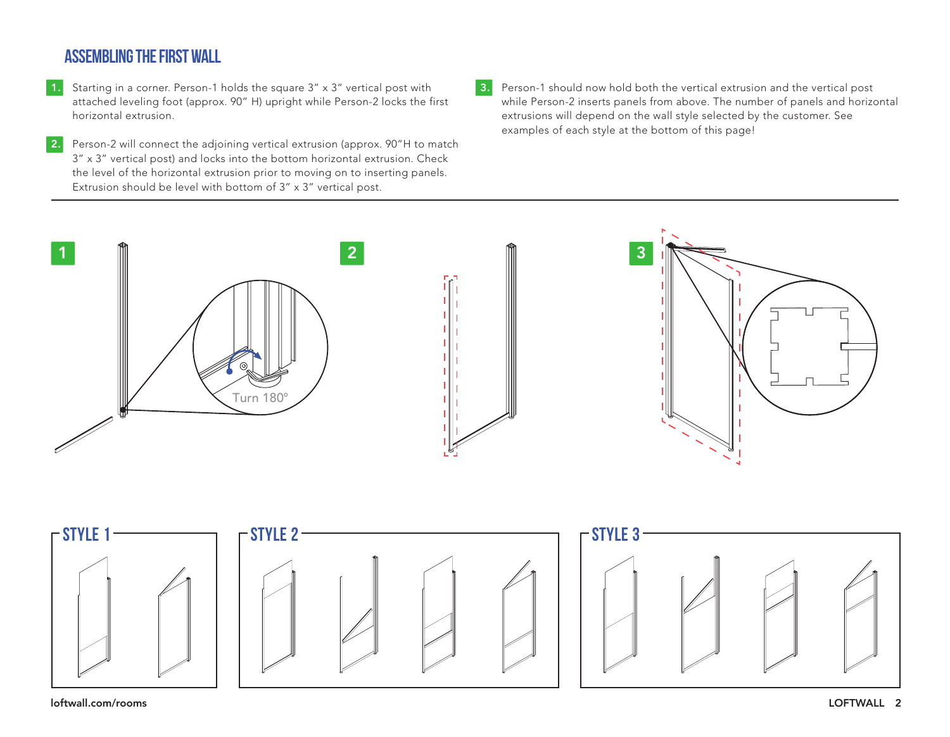# **ASSEMBLING THE FIRST WALL**

- 1. Starting in a corner. Person-1 holds the square 3" x 3" vertical post with attached leveling foot (approx. 90" H) upright while Person-2 locks the first horizontal extrusion.
- **2.** Person-2 will connect the adjoining vertical extrusion (approx. 90"H to match 3" x 3" vertical post) and locks into the bottom horizontal extrusion. Check the level of the horizontal extrusion prior to moving on to inserting panels. Extrusion should be level with bottom of 3" x 3" vertical post.
- 3. Person-1 should now hold both the vertical extrusion and the vertical post while Person-2 inserts panels from above. The number of panels and horizontal extrusions will depend on the wall style selected by the customer. See examples of each style at the bottom of this page!



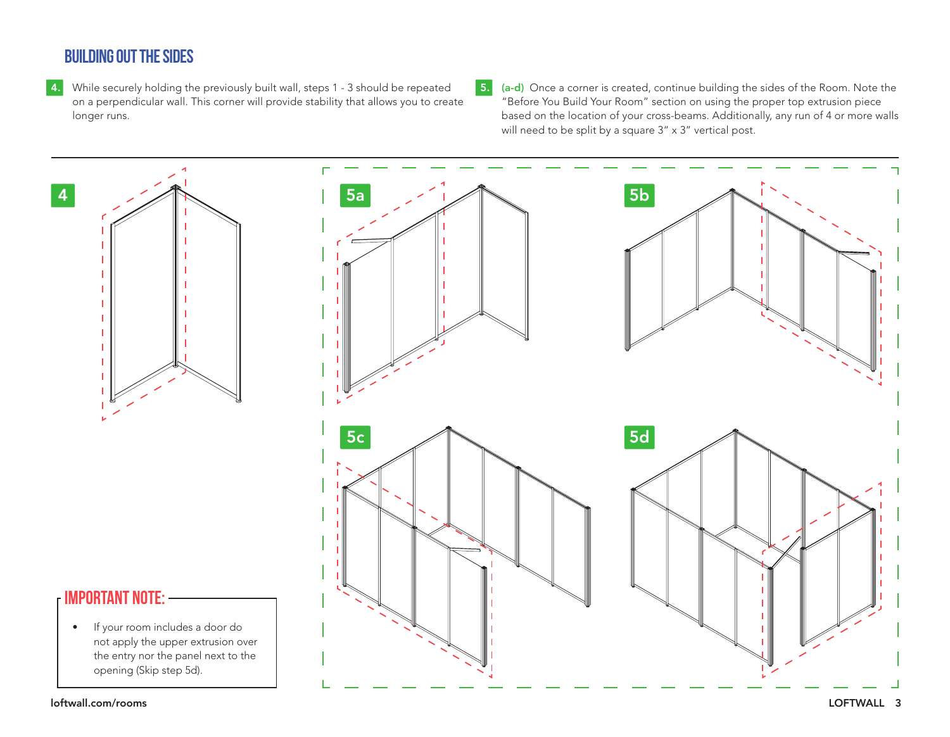# **BUILDING OUT THE SIDES**

- 4. While securely holding the previously built wall, steps 1 3 should be repeated on a perpendicular wall. This corner will provide stability that allows you to create longer runs.
- 5. (a-d) Once a corner is created, continue building the sides of the Room. Note the "Before You Build Your Room" section on using the proper top extrusion piece based on the location of your cross-beams. Additionally, any run of 4 or more walls will need to be split by a square  $3'' \times 3''$  vertical post.



loftwall.com/rooms LOFTWALL 3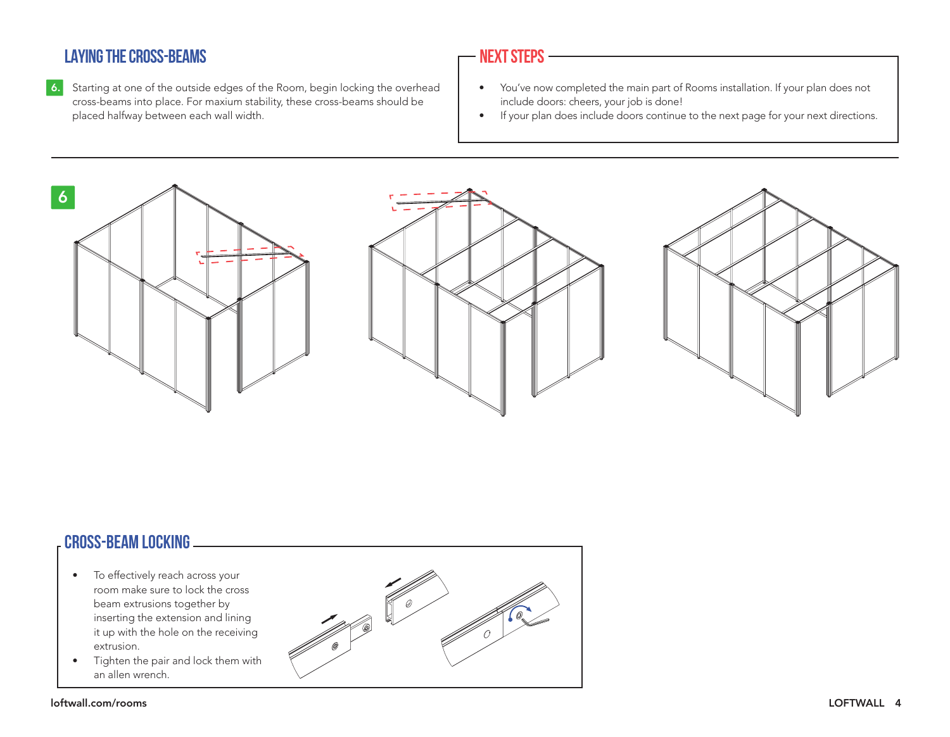# **LAYING THE CROSS-BEAMS**

6. Starting at one of the outside edges of the Room, begin locking the overhead cross-beams into place. For maxium stability, these cross-beams should be placed halfway between each wall width.

#### **NEXT STEPS**

- You've now completed the main part of Rooms installation. If your plan does not include doors: cheers, your job is done!
- If your plan does include doors continue to the next page for your next directions.



## **Cross-Beam LOCKING**

- To effectively reach across your room make sure to lock the cross beam extrusions together by inserting the extension and lining it up with the hole on the receiving extrusion.
- Tighten the pair and lock them with an allen wrench.

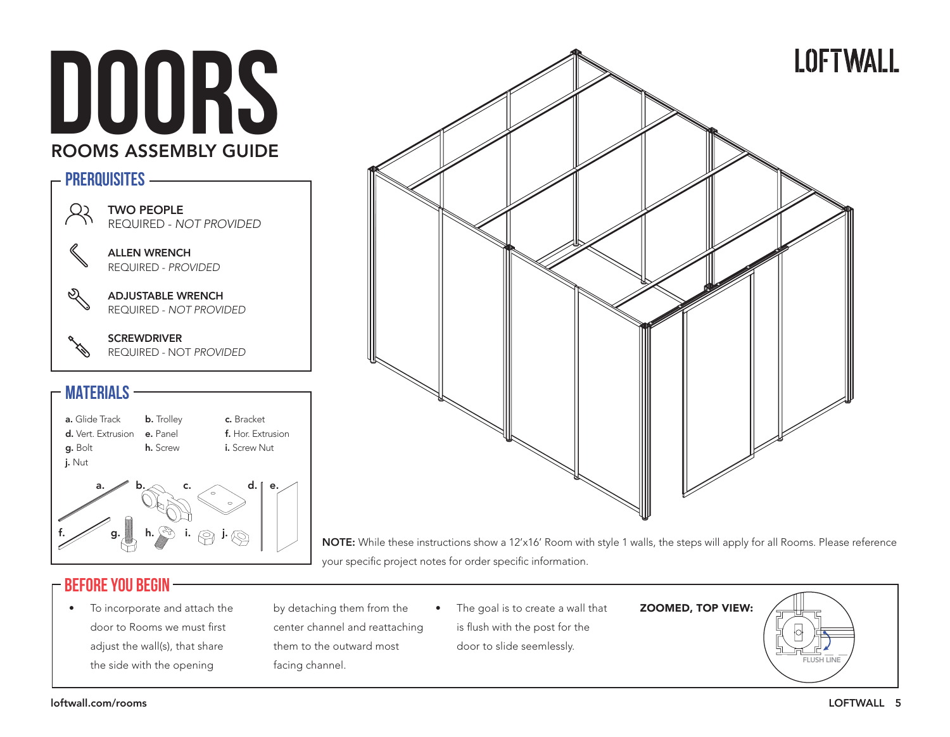# **DOORS** ROOMS ASSEMBLY GUIDE







j. Nut

h. Screw f. Hor. Extrusion i. Screw Nut

c. Bracket



**b.** Trolley



NOTE: While these instructions show a 12'x16' Room with style 1 walls, the steps will apply for all Rooms. Please reference your specific project notes for order specific information.

#### **BEFORE YOU Begin**

• To incorporate and attach the door to Rooms we must first adjust the wall(s), that share the side with the opening

by detaching them from the center channel and reattaching them to the outward most facing channel.

• The goal is to create a wall that is flush with the post for the

door to slide seemlessly.

ZOOMED, TOP VIEW:

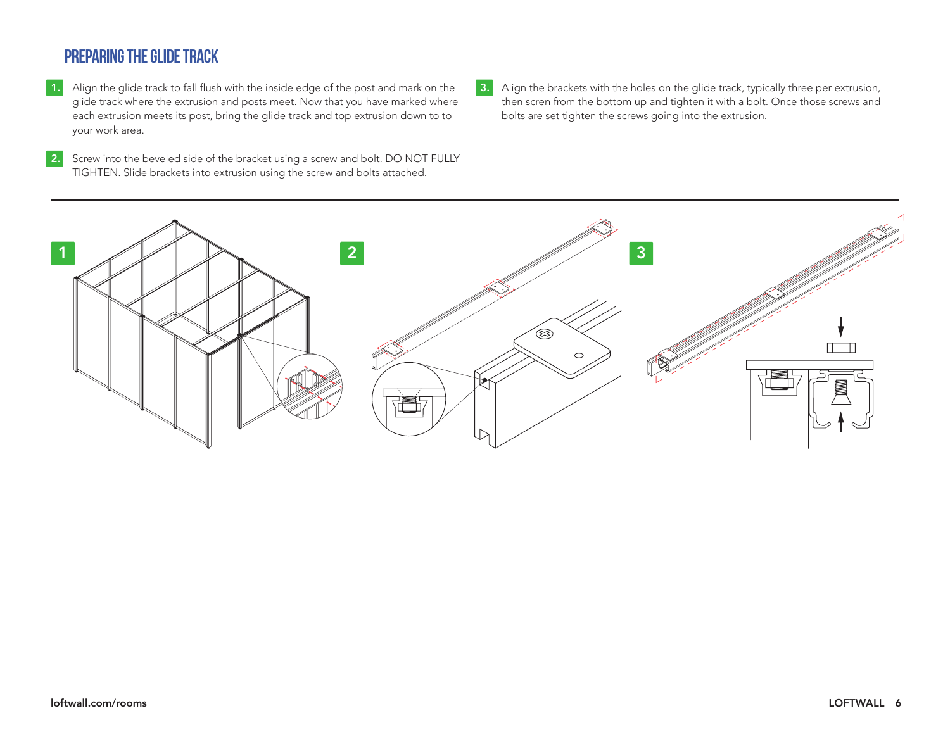# **Preparing the glide track**

- 1. Align the glide track to fall flush with the inside edge of the post and mark on the glide track where the extrusion and posts meet. Now that you have marked where each extrusion meets its post, bring the glide track and top extrusion down to to your work area.
- 2. Screw into the beveled side of the bracket using a screw and bolt. DO NOT FULLY TIGHTEN. Slide brackets into extrusion using the screw and bolts attached.
- 3. Align the brackets with the holes on the glide track, typically three per extrusion, then scren from the bottom up and tighten it with a bolt. Once those screws and bolts are set tighten the screws going into the extrusion.

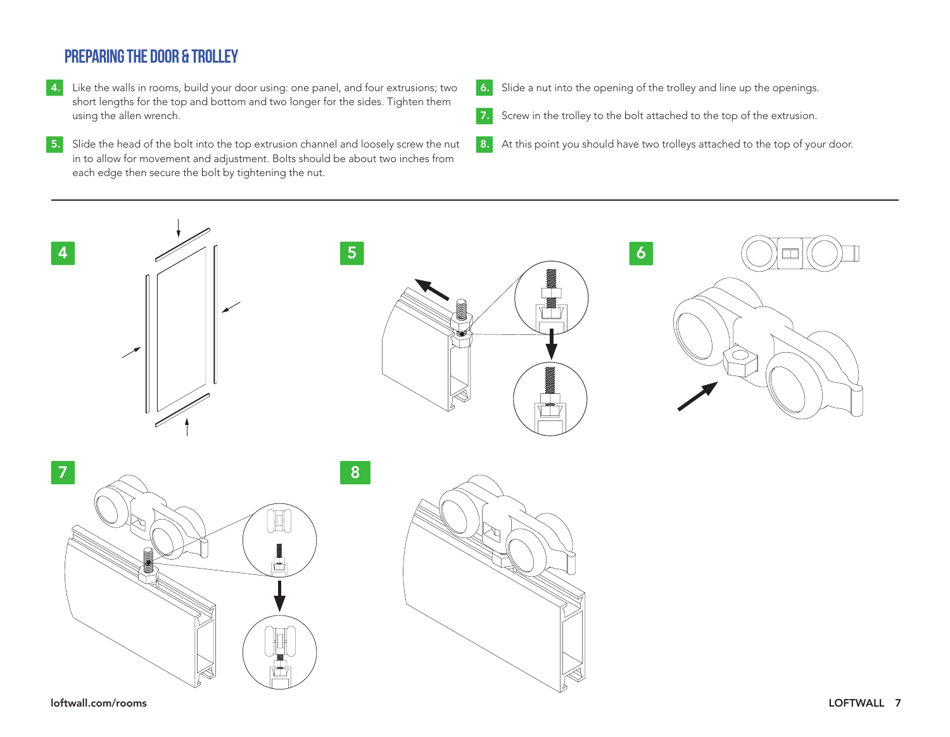# **preparing the door & TROLLEY**

- **4.** Like the walls in rooms, build your door using: one panel, and four extrusions; two short lengths for the top and bottom and two longer for the sides. Tighten them using the allen wrench.
- 5. Slide the head of the bolt into the top extrusion channel and loosely screw the nut in to allow for movement and adjustment. Bolts should be about two inches from each edge then secure the bolt by tightening the nut.
- 6. Slide a nut into the opening of the trolley and line up the openings.
- 7. Screw in the trolley to the bolt attached to the top of the extrusion.
- 8. At this point you should have two trolleys attached to the top of your door.



loftwall.com/rooms LOFTWALL 7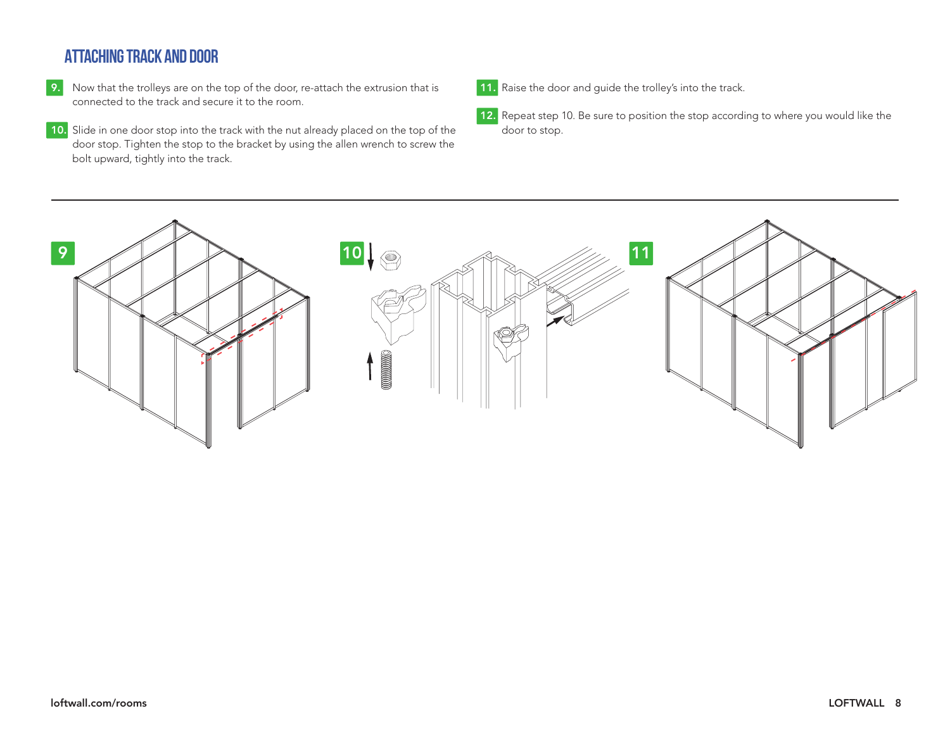# **Attaching track and door**

- 9. Now that the trolleys are on the top of the door, re-attach the extrusion that is connected to the track and secure it to the room.
- 10. Slide in one door stop into the track with the nut already placed on the top of the door stop. Tighten the stop to the bracket by using the allen wrench to screw the bolt upward, tightly into the track.
- 11. Raise the door and guide the trolley's into the track.
- 12. Repeat step 10. Be sure to position the stop according to where you would like the door to stop.

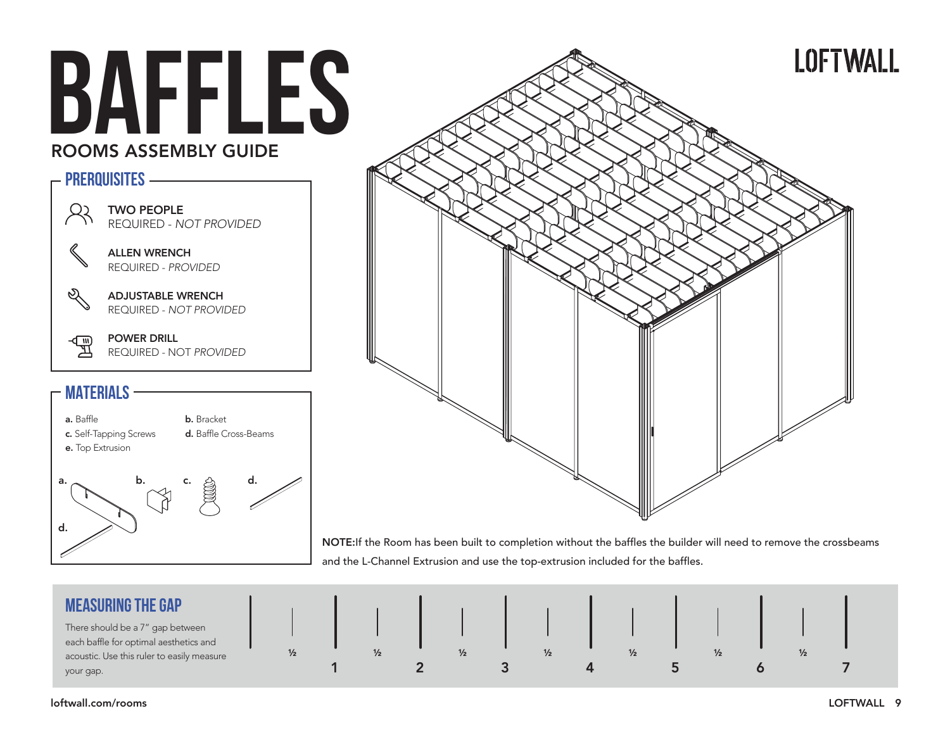# **BAFFLES** ROOMS ASSEMBLY GUIDE

#### **PRERQUISITES** TWO PEOPLE R2 REQUIRED - NOT PROVIDED ALLEN WRENCH REQUIRED - PROVIDED Q ADJUSTABLE WRENCH REQUIRED - NOT PROVIDED POWER DRILL ्<br>मू REQUIRED - NOT PROVIDED

#### **MATERIALS**





NOTE:If the Room has been built to completion without the baffles the builder will need to remove the crossbeams and the L-Channel Extrusion and use the top-extrusion included for the baffles.

| <b>MEASURING THE GAP</b>                                                   |               |               |   |  |               |  |
|----------------------------------------------------------------------------|---------------|---------------|---|--|---------------|--|
| There should be a 7" gap between<br>each baffle for optimal aesthetics and |               |               |   |  |               |  |
| acoustic. Use this ruler to easily measure                                 | $\frac{1}{2}$ | $\frac{1}{2}$ | ½ |  | $\frac{1}{2}$ |  |
| your gap.                                                                  |               |               |   |  |               |  |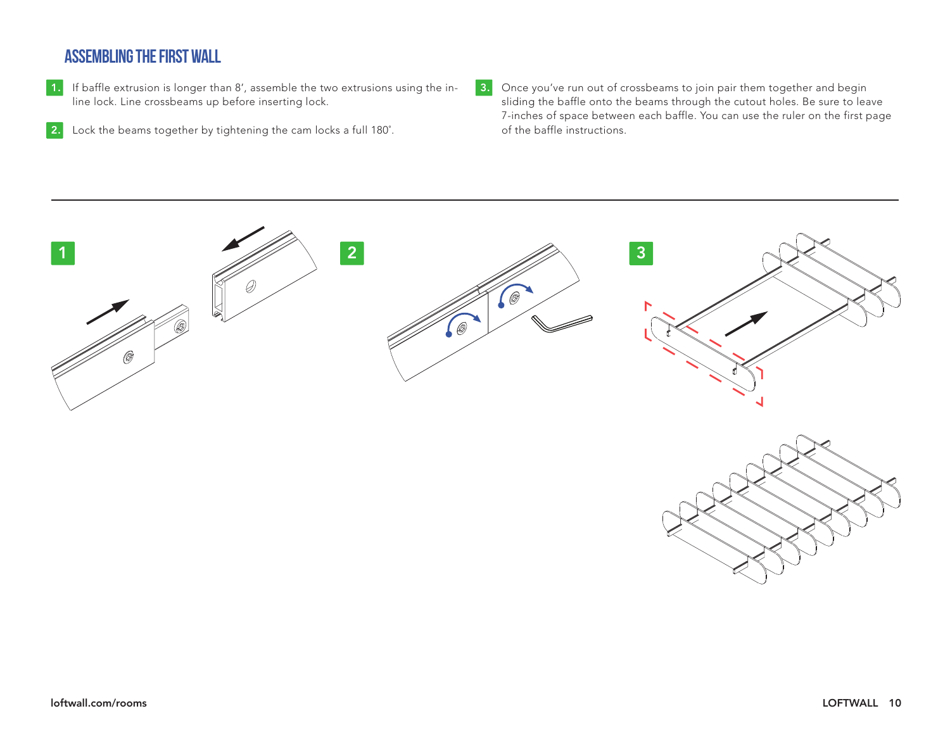## **ASSEMBLING THE FIRST WALL**

- 1. If baffle extrusion is longer than 8', assemble the two extrusions using the inline lock. Line crossbeams up before inserting lock.
- 2. Lock the beams together by tightening the cam locks a full 180°.
- 

3. Once you've run out of crossbeams to join pair them together and begin sliding the baffle onto the beams through the cutout holes. Be sure to leave 7-inches of space between each baffle. You can use the ruler on the first page of the baffle instructions.